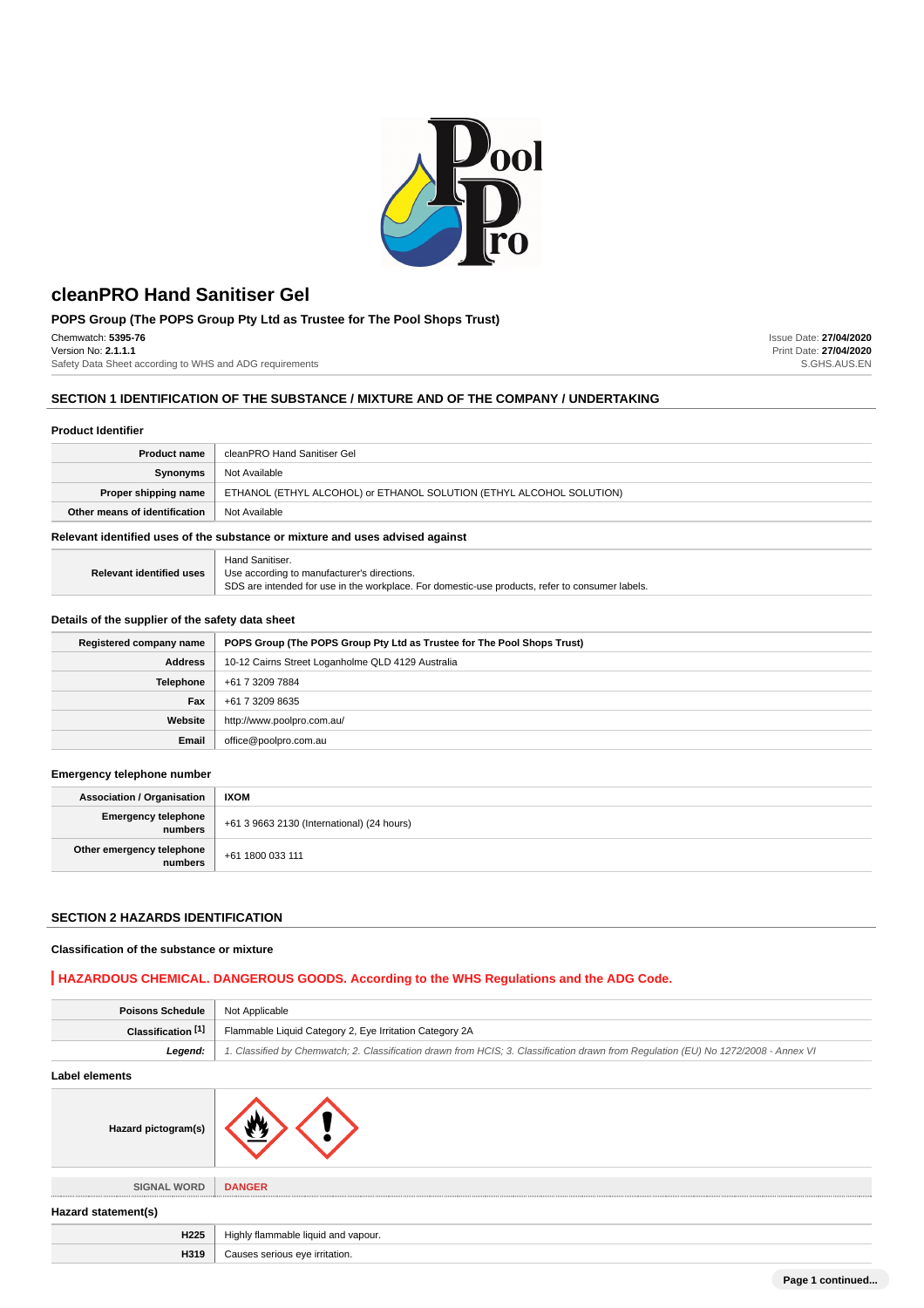

# **POPS Group (The POPS Group Pty Ltd as Trustee for The Pool Shops Trust)**

Chemwatch: **5395-76**

Version No: **2.1.1.1** Safety Data Sheet according to WHS and ADG requirements

# **SECTION 1 IDENTIFICATION OF THE SUBSTANCE / MIXTURE AND OF THE COMPANY / UNDERTAKING**

### **Product Identifier**

| <b>Product name</b>                                                           | cleanPRO Hand Sanitiser Gel                                          |
|-------------------------------------------------------------------------------|----------------------------------------------------------------------|
| Synonyms                                                                      | Not Available                                                        |
| Proper shipping name                                                          | ETHANOL (ETHYL ALCOHOL) or ETHANOL SOLUTION (ETHYL ALCOHOL SOLUTION) |
| Other means of identification                                                 | Not Available                                                        |
| Delevent identified voor af the oukotones er mivture ond voor odvised onginat |                                                                      |

# **Relevant identified uses of the substance or mixture and uses advised against**

| <b>Relevant identified uses</b> | Hand Sanitiser.                                                                                 |
|---------------------------------|-------------------------------------------------------------------------------------------------|
|                                 | Use according to manufacturer's directions.                                                     |
|                                 | SDS are intended for use in the workplace. For domestic-use products, refer to consumer labels. |

### **Details of the supplier of the safety data sheet**

| Registered company name | POPS Group (The POPS Group Pty Ltd as Trustee for The Pool Shops Trust) |
|-------------------------|-------------------------------------------------------------------------|
| <b>Address</b>          | 10-12 Cairns Street Loganholme QLD 4129 Australia                       |
| <b>Telephone</b>        | +61 7 3209 7884                                                         |
| Fax                     | +61 7 3209 8635                                                         |
| Website                 | http://www.poolpro.com.au/                                              |
| Email                   | office@poolpro.com.au                                                   |

### **Emergency telephone number**

| <b>Association / Organisation</b>    | <b>IXOM</b>                                |
|--------------------------------------|--------------------------------------------|
| Emergency telephone<br>  numbers     | +61 3 9663 2130 (International) (24 hours) |
| Other emergency telephone<br>numbers | $\parallel$ +61 1800 033 111               |

# **SECTION 2 HAZARDS IDENTIFICATION**

#### **Classification of the substance or mixture**

# **HAZARDOUS CHEMICAL. DANGEROUS GOODS. According to the WHS Regulations and the ADG Code.**

| <b>Poisons Schedule</b>       | Not Applicable                                                                                                                      |  |
|-------------------------------|-------------------------------------------------------------------------------------------------------------------------------------|--|
| Classification <sup>[1]</sup> | Flammable Liquid Category 2, Eye Irritation Category 2A                                                                             |  |
| Legend:                       | 1. Classified by Chemwatch; 2. Classification drawn from HCIS; 3. Classification drawn from Regulation (EU) No 1272/2008 - Annex VI |  |
| Label elements                |                                                                                                                                     |  |
| Hazard pictogram(s)           |                                                                                                                                     |  |
| <b>SIGNAL WORD</b>            | <b>DANGER</b>                                                                                                                       |  |
| Hazard statement(s)           |                                                                                                                                     |  |
| H225                          | Highly flammable liquid and vapour.                                                                                                 |  |
| H319                          | Causes serious eye irritation.                                                                                                      |  |

Issue Date: **27/04/2020** Print Date: **27/04/2020** S.GHS.AUS.EN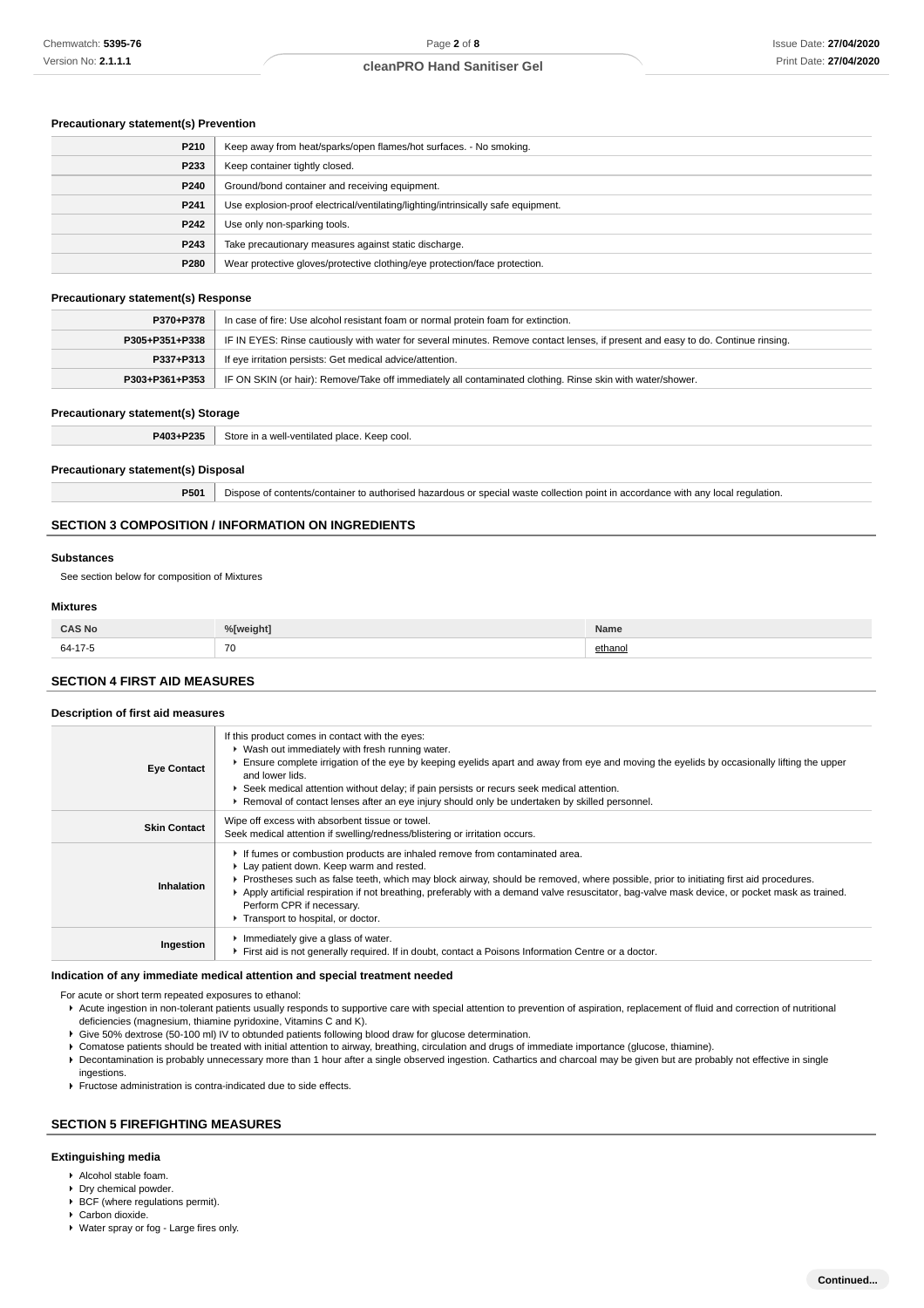# **Precautionary statement(s) Prevention**

| P210 | Keep away from heat/sparks/open flames/hot surfaces. - No smoking.                |
|------|-----------------------------------------------------------------------------------|
| P233 | Keep container tightly closed.                                                    |
| P240 | Ground/bond container and receiving equipment.                                    |
| P241 | Use explosion-proof electrical/ventilating/lighting/intrinsically safe equipment. |
| P242 | Use only non-sparking tools.                                                      |
| P243 | Take precautionary measures against static discharge.                             |
| P280 | Wear protective gloves/protective clothing/eye protection/face protection.        |

#### **Precautionary statement(s) Response**

| P370+P378      | In case of fire: Use alcohol resistant foam or normal protein foam for extinction.                                                                 |  |
|----------------|----------------------------------------------------------------------------------------------------------------------------------------------------|--|
|                | IF IN EYES: Rinse cautiously with water for several minutes. Remove contact lenses, if present and easy to do. Continue rinsing.<br>P305+P351+P338 |  |
| P337+P313      | If eye irritation persists: Get medical advice/attention.                                                                                          |  |
| P303+P361+P353 | IF ON SKIN (or hair): Remove/Take off immediately all contaminated clothing. Rinse skin with water/shower.                                         |  |

#### **Precautionary statement(s) Storage**

| P403+P235 | . Store in a well-ventilated place. Keep cool.<br>$  -$ |
|-----------|---------------------------------------------------------|
|           |                                                         |

#### **Precautionary statement(s) Disposal**

**P501** Dispose of contents/container to authorised hazardous or special waste collection point in accordance with any local regulation.

### **SECTION 3 COMPOSITION / INFORMATION ON INGREDIENTS**

#### **Substances**

See section below for composition of Mixtures

### **Mixtures**

| ≏∆S Nr<br>     | $0/$ Eucatable | Name     |
|----------------|----------------|----------|
| 64-17<br>$-11$ | 70<br>$\sim$   | $th$ ano |

### **SECTION 4 FIRST AID MEASURES**

#### **Description of first aid measures**

| <b>Eye Contact</b>  | If this product comes in contact with the eyes:<br>▶ Wash out immediately with fresh running water.<br>Ensure complete irrigation of the eye by keeping eyelids apart and away from eye and moving the eyelids by occasionally lifting the upper<br>and lower lids.<br>► Seek medical attention without delay; if pain persists or recurs seek medical attention.<br>▶ Removal of contact lenses after an eye injury should only be undertaken by skilled personnel.               |
|---------------------|------------------------------------------------------------------------------------------------------------------------------------------------------------------------------------------------------------------------------------------------------------------------------------------------------------------------------------------------------------------------------------------------------------------------------------------------------------------------------------|
| <b>Skin Contact</b> | Wipe off excess with absorbent tissue or towel.<br>Seek medical attention if swelling/redness/blistering or irritation occurs.                                                                                                                                                                                                                                                                                                                                                     |
| Inhalation          | If fumes or combustion products are inhaled remove from contaminated area.<br>Lay patient down. Keep warm and rested.<br>Prostheses such as false teeth, which may block airway, should be removed, where possible, prior to initiating first aid procedures.<br>▶ Apply artificial respiration if not breathing, preferably with a demand valve resuscitator, bag-valve mask device, or pocket mask as trained.<br>Perform CPR if necessary.<br>Transport to hospital, or doctor. |
| Ingestion           | Immediately give a glass of water.<br>First aid is not generally required. If in doubt, contact a Poisons Information Centre or a doctor.                                                                                                                                                                                                                                                                                                                                          |

### **Indication of any immediate medical attention and special treatment needed**

For acute or short term repeated exposures to ethanol:

- Acute ingestion in non-tolerant patients usually responds to supportive care with special attention to prevention of aspiration, replacement of fluid and correction of nutritional deficiencies (magnesium, thiamine pyridoxine, Vitamins C and K).
- Give 50% dextrose (50-100 ml) IV to obtunded patients following blood draw for glucose determination.
- Comatose patients should be treated with initial attention to airway, breathing, circulation and drugs of immediate importance (glucose, thiamine).
- Decontamination is probably unnecessary more than 1 hour after a single observed ingestion. Cathartics and charcoal may be given but are probably not effective in single ingestions.
- Fructose administration is contra-indicated due to side effects.

#### **SECTION 5 FIREFIGHTING MEASURES**

#### **Extinguishing media**

- Alcohol stable foam.
- **Dry chemical powder.**
- ▶ BCF (where regulations permit).
- Carbon dioxide.
- Water spray or fog Large fires only.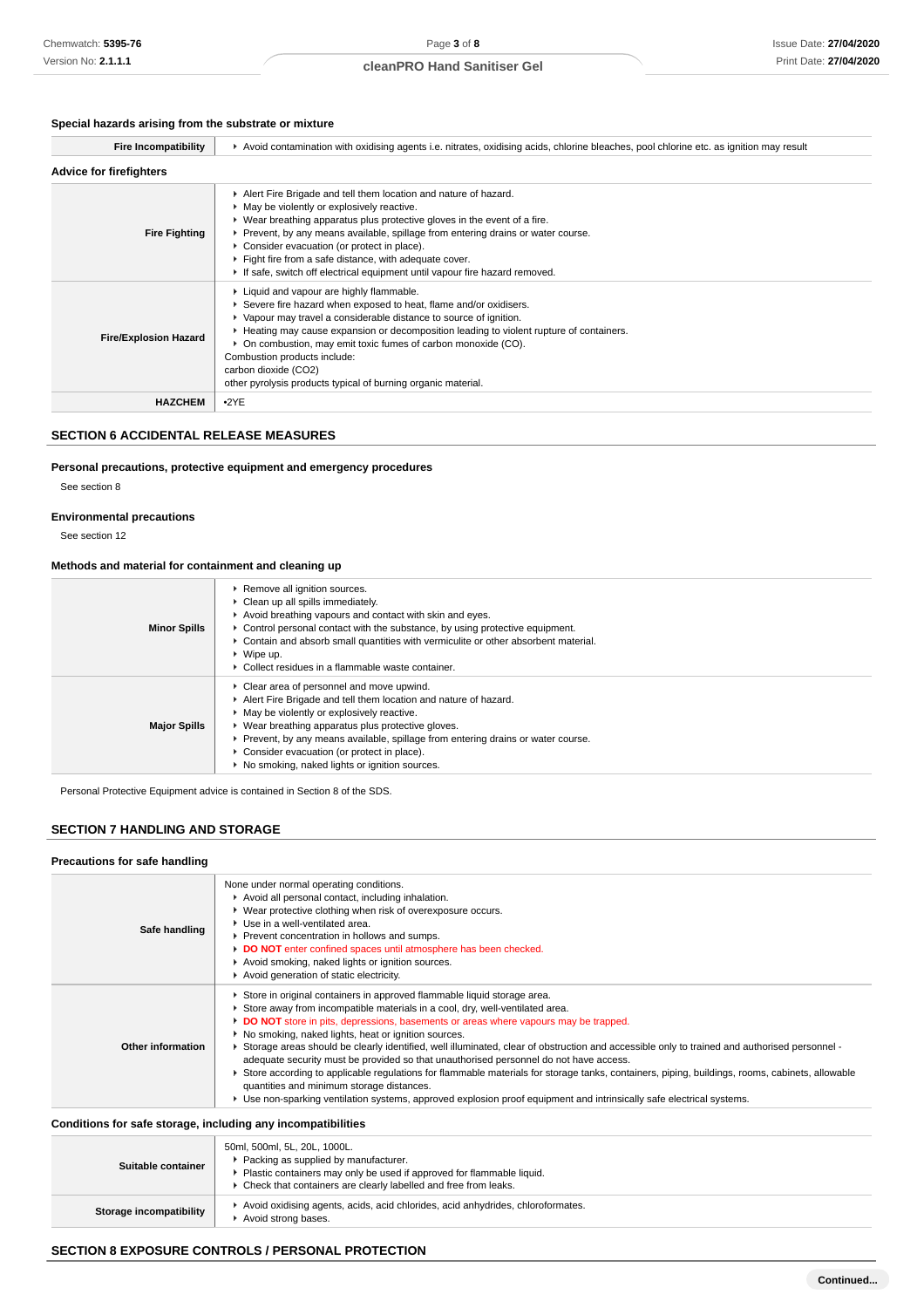# **Special hazards arising from the substrate or mixture**

| <b>Fire Incompatibility</b>    | ► Avoid contamination with oxidising agents i.e. nitrates, oxidising acids, chlorine bleaches, pool chlorine etc. as ignition may result                                                                                                                                                                                                                                                                                                                                 |  |
|--------------------------------|--------------------------------------------------------------------------------------------------------------------------------------------------------------------------------------------------------------------------------------------------------------------------------------------------------------------------------------------------------------------------------------------------------------------------------------------------------------------------|--|
| <b>Advice for firefighters</b> |                                                                                                                                                                                                                                                                                                                                                                                                                                                                          |  |
| <b>Fire Fighting</b>           | Alert Fire Brigade and tell them location and nature of hazard.<br>• May be violently or explosively reactive.<br>▶ Wear breathing apparatus plus protective gloves in the event of a fire.<br>▶ Prevent, by any means available, spillage from entering drains or water course.<br>Consider evacuation (or protect in place).<br>Fight fire from a safe distance, with adequate cover.<br>If safe, switch off electrical equipment until vapour fire hazard removed.    |  |
| <b>Fire/Explosion Hazard</b>   | Liquid and vapour are highly flammable.<br>Severe fire hazard when exposed to heat, flame and/or oxidisers.<br>▶ Vapour may travel a considerable distance to source of ignition.<br>▶ Heating may cause expansion or decomposition leading to violent rupture of containers.<br>• On combustion, may emit toxic fumes of carbon monoxide (CO).<br>Combustion products include:<br>carbon dioxide (CO2)<br>other pyrolysis products typical of burning organic material. |  |
| <b>HAZCHEM</b>                 | $-2YE$                                                                                                                                                                                                                                                                                                                                                                                                                                                                   |  |

# **SECTION 6 ACCIDENTAL RELEASE MEASURES**

# **Personal precautions, protective equipment and emergency procedures**

See section 8

### **Environmental precautions**

See section 12

### **Methods and material for containment and cleaning up**

| <b>Minor Spills</b> | ▶ Remove all ignition sources.<br>• Clean up all spills immediately.<br>Avoid breathing vapours and contact with skin and eyes.<br>$\triangleright$ Control personal contact with the substance, by using protective equipment.<br>• Contain and absorb small quantities with vermiculite or other absorbent material.<br>$\triangleright$ Wipe up.<br>• Collect residues in a flammable waste container.  |
|---------------------|------------------------------------------------------------------------------------------------------------------------------------------------------------------------------------------------------------------------------------------------------------------------------------------------------------------------------------------------------------------------------------------------------------|
| <b>Major Spills</b> | • Clear area of personnel and move upwind.<br>Alert Fire Brigade and tell them location and nature of hazard.<br>• May be violently or explosively reactive.<br>▶ Wear breathing apparatus plus protective gloves.<br>► Prevent, by any means available, spillage from entering drains or water course.<br>• Consider evacuation (or protect in place).<br>▶ No smoking, naked lights or ignition sources. |

Personal Protective Equipment advice is contained in Section 8 of the SDS.

# **SECTION 7 HANDLING AND STORAGE**

#### **Precautions for safe handling**

| Safe handling     | None under normal operating conditions.<br>Avoid all personal contact, including inhalation.<br>▶ Wear protective clothing when risk of overexposure occurs.<br>▶ Use in a well-ventilated area.<br>Prevent concentration in hollows and sumps.<br>DO NOT enter confined spaces until atmosphere has been checked.<br>Avoid smoking, naked lights or ignition sources.<br>Avoid generation of static electricity.                                                                                                                                                                                                                                                                                                                                                                                                                                                          |
|-------------------|----------------------------------------------------------------------------------------------------------------------------------------------------------------------------------------------------------------------------------------------------------------------------------------------------------------------------------------------------------------------------------------------------------------------------------------------------------------------------------------------------------------------------------------------------------------------------------------------------------------------------------------------------------------------------------------------------------------------------------------------------------------------------------------------------------------------------------------------------------------------------|
| Other information | Store in original containers in approved flammable liquid storage area.<br>Store away from incompatible materials in a cool, dry, well-ventilated area.<br>DO NOT store in pits, depressions, basements or areas where vapours may be trapped.<br>• No smoking, naked lights, heat or ignition sources.<br>► Storage areas should be clearly identified, well illuminated, clear of obstruction and accessible only to trained and authorised personnel -<br>adequate security must be provided so that unauthorised personnel do not have access.<br>Store according to applicable regulations for flammable materials for storage tanks, containers, piping, buildings, rooms, cabinets, allowable<br>quantities and minimum storage distances.<br>► Use non-sparking ventilation systems, approved explosion proof equipment and intrinsically safe electrical systems. |

#### **Conditions for safe storage, including any incompatibilities**

| Suitable container      | 50ml, 500ml, 5L, 20L, 1000L.<br>Packing as supplied by manufacturer.<br>Plastic containers may only be used if approved for flammable liquid.<br>Check that containers are clearly labelled and free from leaks. |
|-------------------------|------------------------------------------------------------------------------------------------------------------------------------------------------------------------------------------------------------------|
| Storage incompatibility | Avoid oxidising agents, acids, acid chlorides, acid anhydrides, chloroformates.<br>Avoid strong bases.                                                                                                           |

# **SECTION 8 EXPOSURE CONTROLS / PERSONAL PROTECTION**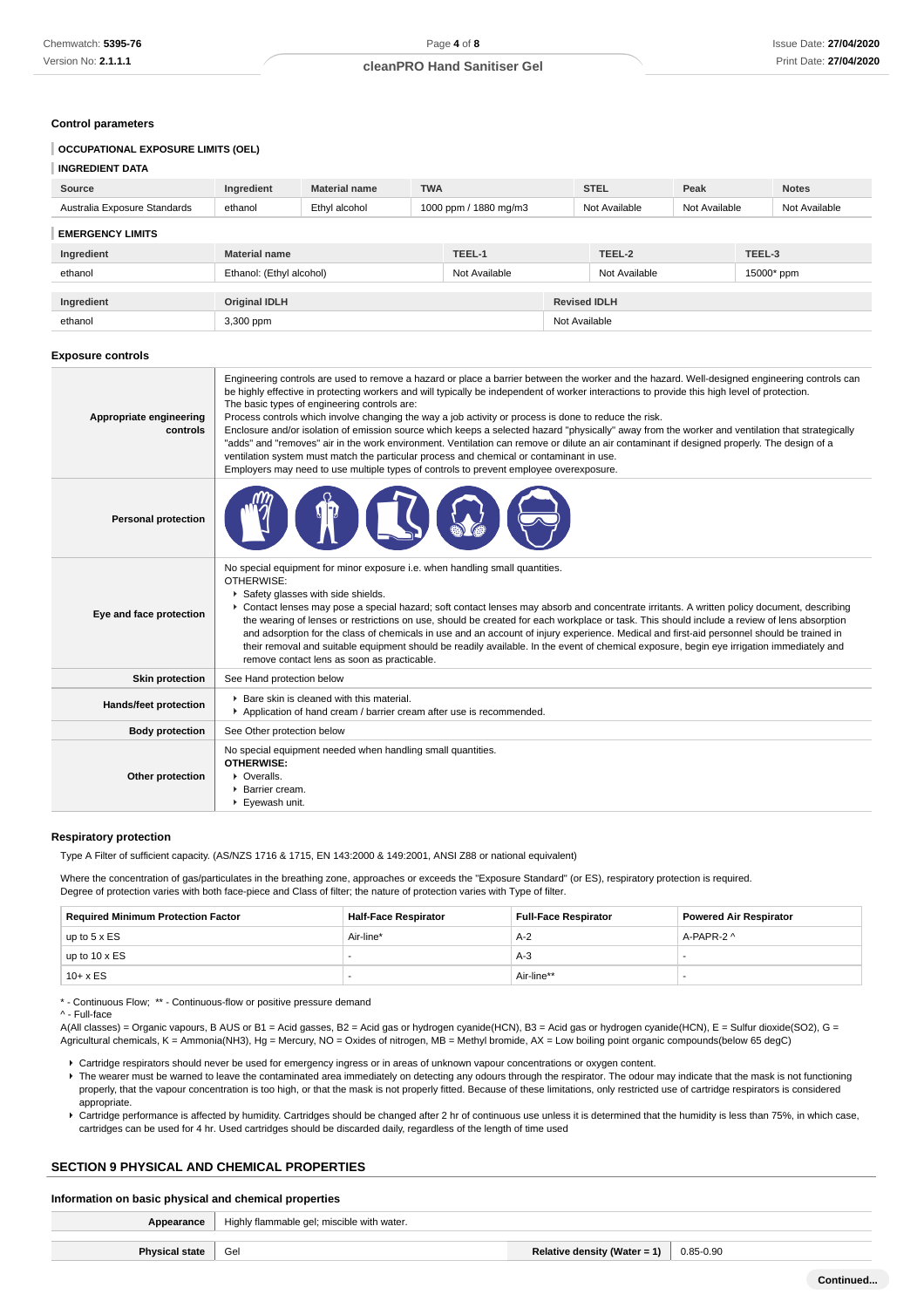#### **Control parameters**

# **OCCUPATIONAL EXPOSURE LIMITS (OEL)**

# **INGREDIENT DATA Source Ingredient Material name TWA STEL Peak Notes** Australia Exposure Standards ethanol Ethyl alcohol 1000 ppm / 1880 mg/m3 Not Available Not Available Not Available **EMERGENCY LIMITS Ingredient Material name TEEL-1 TEEL-2 TEEL-3** ethanol **Ethanol:** (Ethyl alcohol) Not Available Not Available Not Available 15000\* ppm **Ingredient Original IDLH Revised IDLH** ethanol 3,300 ppm Not Available **Exposure controls Appropriate engineering controls** Engineering controls are used to remove a hazard or place a barrier between the worker and the hazard. Well-designed engineering controls can be highly effective in protecting workers and will typically be independent of worker interactions to provide this high level of protection. The basic types of engineering controls are: Process controls which involve changing the way a job activity or process is done to reduce the risk. Enclosure and/or isolation of emission source which keeps a selected hazard "physically" away from the worker and ventilation that strategically "adds" and "removes" air in the work environment. Ventilation can remove or dilute an air contaminant if designed properly. The design of a ventilation system must match the particular process and chemical or contaminant in use. Employers may need to use multiple types of controls to prevent employee overexposure. **Personal protection Eye and face protection** No special equipment for minor exposure i.e. when handling small quantities. OTHERWISE: **F** Safety glasses with side shields. Contact lenses may pose a special hazard; soft contact lenses may absorb and concentrate irritants. A written policy document, describing the wearing of lenses or restrictions on use, should be created for each workplace or task. This should include a review of lens absorption and adsorption for the class of chemicals in use and an account of injury experience. Medical and first-aid personnel should be trained in their removal and suitable equipment should be readily available. In the event of chemical exposure, begin eye irrigation immediately and remove contact lens as soon as practicable. **Skin protection** | See Hand protection below Hands/feet protection **Bare skin is cleaned with this material.** Application of hand cream / barrier cream after use is recommended. **Body protection** | See Other protection below **Other protection** No special equipment needed when handling small quantities. **OTHERWISE:** Overalls. Barrier cream. Eyewash unit.

#### **Respiratory protection**

Type A Filter of sufficient capacity. (AS/NZS 1716 & 1715, EN 143:2000 & 149:2001, ANSI Z88 or national equivalent)

Where the concentration of gas/particulates in the breathing zone, approaches or exceeds the "Exposure Standard" (or ES), respiratory protection is required. Degree of protection varies with both face-piece and Class of filter; the nature of protection varies with Type of filter.

| <b>Required Minimum Protection Factor</b> | <b>Half-Face Respirator</b> | <b>Full-Face Respirator</b> | <b>Powered Air Respirator</b> |
|-------------------------------------------|-----------------------------|-----------------------------|-------------------------------|
| up to $5 \times ES$                       | Air-line*                   | A-2                         | A-PAPR-2 ^                    |
| up to $10 \times ES$                      |                             | A-3                         |                               |
| $10 + x ES$                               |                             | Air-line**                  |                               |

\* - Continuous Flow; \*\* - Continuous-flow or positive pressure demand

^ - Full-face

A(All classes) = Organic vapours, B AUS or B1 = Acid gasses, B2 = Acid gas or hydrogen cyanide(HCN), B3 = Acid gas or hydrogen cyanide(HCN), E = Sulfur dioxide(SO2), G = Agricultural chemicals, K = Ammonia(NH3), Hg = Mercury, NO = Oxides of nitrogen, MB = Methyl bromide, AX = Low boiling point organic compounds(below 65 degC)

- Cartridge respirators should never be used for emergency ingress or in areas of unknown vapour concentrations or oxygen content.
- F The wearer must be warned to leave the contaminated area immediately on detecting any odours through the respirator. The odour may indicate that the mask is not functioning properly, that the vapour concentration is too high, or that the mask is not properly fitted. Because of these limitations, only restricted use of cartridge respirators is considered appropriate.
- Cartridge performance is affected by humidity. Cartridges should be changed after 2 hr of continuous use unless it is determined that the humidity is less than 75%, in which case, cartridges can be used for 4 hr. Used cartridges should be discarded daily, regardless of the length of time used

### **SECTION 9 PHYSICAL AND CHEMICAL PROPERTIES**

#### **Information on basic physical and chemical properties**

**Appearance** Highly flammable gel; miscible with water.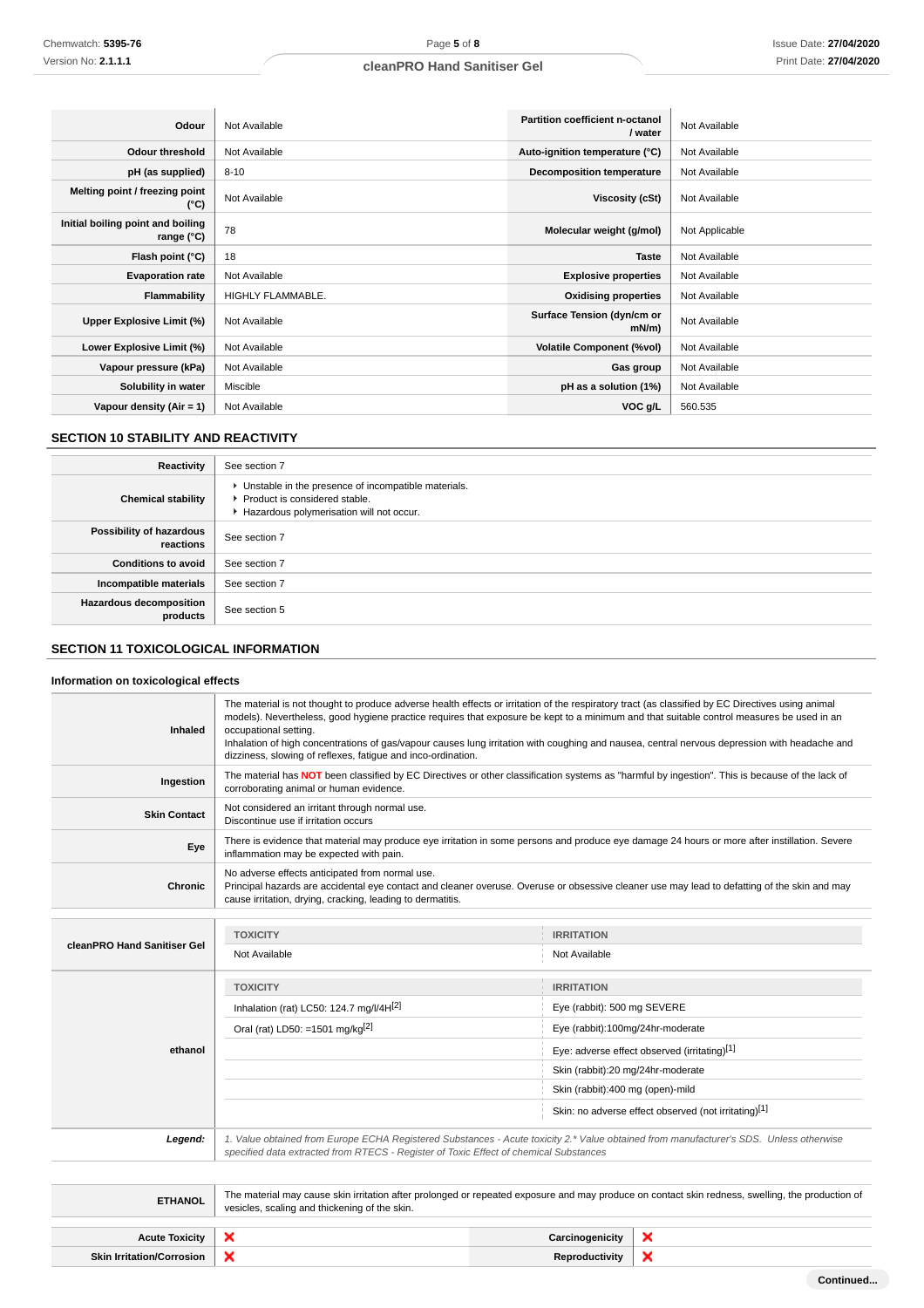| Odour                                             | Not Available     | Partition coefficient n-octanol<br>/ water | Not Available  |
|---------------------------------------------------|-------------------|--------------------------------------------|----------------|
| <b>Odour threshold</b>                            | Not Available     | Auto-ignition temperature (°C)             | Not Available  |
| pH (as supplied)                                  | $8 - 10$          | <b>Decomposition temperature</b>           | Not Available  |
| Melting point / freezing point<br>(°C)            | Not Available     | Viscosity (cSt)                            | Not Available  |
| Initial boiling point and boiling<br>range $(°C)$ | 78                | Molecular weight (g/mol)                   | Not Applicable |
| Flash point (°C)                                  | 18                | <b>Taste</b>                               | Not Available  |
| <b>Evaporation rate</b>                           | Not Available     | <b>Explosive properties</b>                | Not Available  |
| Flammability                                      | HIGHLY FLAMMABLE. | <b>Oxidising properties</b>                | Not Available  |
| Upper Explosive Limit (%)                         | Not Available     | Surface Tension (dyn/cm or<br>$mN/m$ )     | Not Available  |
| Lower Explosive Limit (%)                         | Not Available     | <b>Volatile Component (%vol)</b>           | Not Available  |
| Vapour pressure (kPa)                             | Not Available     | Gas group                                  | Not Available  |
| Solubility in water                               | Miscible          | pH as a solution (1%)                      | Not Available  |
| Vapour density (Air = 1)                          | Not Available     | VOC g/L                                    | 560.535        |

# **SECTION 10 STABILITY AND REACTIVITY**

| Reactivity                            | See section 7                                                                                                                        |
|---------------------------------------|--------------------------------------------------------------------------------------------------------------------------------------|
| <b>Chemical stability</b>             | • Unstable in the presence of incompatible materials.<br>▶ Product is considered stable.<br>Hazardous polymerisation will not occur. |
| Possibility of hazardous<br>reactions | See section 7                                                                                                                        |
| <b>Conditions to avoid</b>            | See section 7                                                                                                                        |
| Incompatible materials                | See section 7                                                                                                                        |
| Hazardous decomposition<br>products   | See section 5                                                                                                                        |

# **SECTION 11 TOXICOLOGICAL INFORMATION**

# **Information on toxicological effects**

| Inhaled                          | The material is not thought to produce adverse health effects or irritation of the respiratory tract (as classified by EC Directives using animal<br>models). Nevertheless, good hygiene practice requires that exposure be kept to a minimum and that suitable control measures be used in an<br>occupational setting.<br>Inhalation of high concentrations of gas/vapour causes lung irritation with coughing and nausea, central nervous depression with headache and<br>dizziness, slowing of reflexes, fatique and inco-ordination. |                                   |                                                      |
|----------------------------------|------------------------------------------------------------------------------------------------------------------------------------------------------------------------------------------------------------------------------------------------------------------------------------------------------------------------------------------------------------------------------------------------------------------------------------------------------------------------------------------------------------------------------------------|-----------------------------------|------------------------------------------------------|
| Ingestion                        | The material has NOT been classified by EC Directives or other classification systems as "harmful by ingestion". This is because of the lack of<br>corroborating animal or human evidence.                                                                                                                                                                                                                                                                                                                                               |                                   |                                                      |
| <b>Skin Contact</b>              | Not considered an irritant through normal use.<br>Discontinue use if irritation occurs                                                                                                                                                                                                                                                                                                                                                                                                                                                   |                                   |                                                      |
| Eye                              | There is evidence that material may produce eye irritation in some persons and produce eye damage 24 hours or more after instillation. Severe<br>inflammation may be expected with pain.                                                                                                                                                                                                                                                                                                                                                 |                                   |                                                      |
| <b>Chronic</b>                   | No adverse effects anticipated from normal use.<br>Principal hazards are accidental eye contact and cleaner overuse. Overuse or obsessive cleaner use may lead to defatting of the skin and may<br>cause irritation, drying, cracking, leading to dermatitis.                                                                                                                                                                                                                                                                            |                                   |                                                      |
|                                  |                                                                                                                                                                                                                                                                                                                                                                                                                                                                                                                                          |                                   |                                                      |
| cleanPRO Hand Sanitiser Gel      | <b>TOXICITY</b>                                                                                                                                                                                                                                                                                                                                                                                                                                                                                                                          | <b>IRRITATION</b>                 |                                                      |
|                                  | Not Available                                                                                                                                                                                                                                                                                                                                                                                                                                                                                                                            | Not Available                     |                                                      |
|                                  | <b>TOXICITY</b>                                                                                                                                                                                                                                                                                                                                                                                                                                                                                                                          | <b>IRRITATION</b>                 |                                                      |
|                                  | Inhalation (rat) LC50: 124.7 mg/l/4H[2]                                                                                                                                                                                                                                                                                                                                                                                                                                                                                                  | Eye (rabbit): 500 mg SEVERE       |                                                      |
|                                  | Oral (rat) LD50: =1501 mg/kg <sup>[2]</sup>                                                                                                                                                                                                                                                                                                                                                                                                                                                                                              | Eye (rabbit):100mg/24hr-moderate  |                                                      |
| ethanol                          | Eye: adverse effect observed (irritating)[1]                                                                                                                                                                                                                                                                                                                                                                                                                                                                                             |                                   |                                                      |
|                                  |                                                                                                                                                                                                                                                                                                                                                                                                                                                                                                                                          | Skin (rabbit):20 mg/24hr-moderate |                                                      |
|                                  |                                                                                                                                                                                                                                                                                                                                                                                                                                                                                                                                          | Skin (rabbit):400 mg (open)-mild  |                                                      |
|                                  |                                                                                                                                                                                                                                                                                                                                                                                                                                                                                                                                          |                                   | Skin: no adverse effect observed (not irritating)[1] |
| Legend:                          | 1. Value obtained from Europe ECHA Registered Substances - Acute toxicity 2.* Value obtained from manufacturer's SDS. Unless otherwise<br>specified data extracted from RTECS - Register of Toxic Effect of chemical Substances                                                                                                                                                                                                                                                                                                          |                                   |                                                      |
|                                  |                                                                                                                                                                                                                                                                                                                                                                                                                                                                                                                                          |                                   |                                                      |
| <b>ETHANOL</b>                   | The material may cause skin irritation after prolonged or repeated exposure and may produce on contact skin redness, swelling, the production of<br>vesicles, scaling and thickening of the skin.                                                                                                                                                                                                                                                                                                                                        |                                   |                                                      |
|                                  |                                                                                                                                                                                                                                                                                                                                                                                                                                                                                                                                          |                                   |                                                      |
| <b>Acute Toxicity</b>            | ×<br>×<br>Carcinogenicity                                                                                                                                                                                                                                                                                                                                                                                                                                                                                                                |                                   |                                                      |
| <b>Skin Irritation/Corrosion</b> | ×                                                                                                                                                                                                                                                                                                                                                                                                                                                                                                                                        | Reproductivity                    | ×                                                    |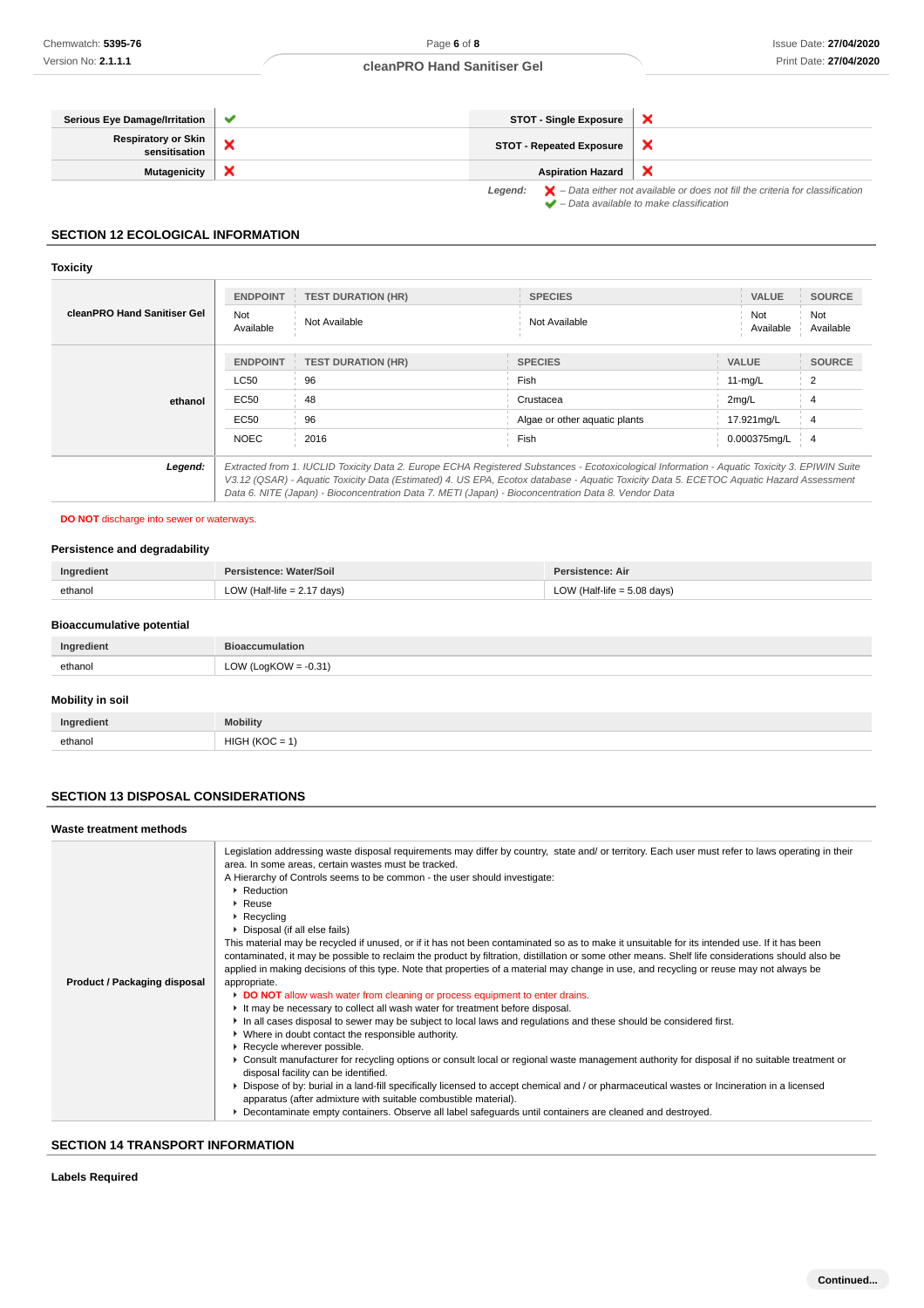| Serious Eye Damage/Irritation        | $\checkmark$ | <b>STOT - Single Exposure</b>                                                                                                                                             |  |
|--------------------------------------|--------------|---------------------------------------------------------------------------------------------------------------------------------------------------------------------------|--|
| Respiratory or Skin<br>sensitisation |              | <b>STOT - Repeated Exposure</b>                                                                                                                                           |  |
| <b>Mutagenicity</b>                  |              | <b>Aspiration Hazard</b>                                                                                                                                                  |  |
|                                      |              | <b>Legend:</b> $\mathbf{X}$ – Data either not available or does not fill the criteria for classification<br>$\blacktriangleright$ - Data available to make classification |  |

### **SECTION 12 ECOLOGICAL INFORMATION**

# **Toxicity**

| cleanPRO Hand Sanitiser Gel | <b>ENDPOINT</b><br>Not<br>Available | <b>TEST DURATION (HR)</b><br>Not Available | <b>SPECIES</b><br>Not Available                                                                                                                                                                                                                                                                                                                                                                 | <b>VALUE</b><br>Not<br>Available | <b>SOURCE</b><br>Not<br>Available |
|-----------------------------|-------------------------------------|--------------------------------------------|-------------------------------------------------------------------------------------------------------------------------------------------------------------------------------------------------------------------------------------------------------------------------------------------------------------------------------------------------------------------------------------------------|----------------------------------|-----------------------------------|
|                             | <b>ENDPOINT</b>                     | <b>TEST DURATION (HR)</b>                  | <b>SPECIES</b>                                                                                                                                                                                                                                                                                                                                                                                  | <b>VALUE</b>                     | <b>SOURCE</b>                     |
| ethanol                     | <b>LC50</b>                         | 96                                         | <b>Fish</b>                                                                                                                                                                                                                                                                                                                                                                                     | $11-mg/L$                        |                                   |
|                             | EC50                                | 48                                         | Crustacea                                                                                                                                                                                                                                                                                                                                                                                       | 2mq/L                            |                                   |
|                             | EC50                                | 96                                         | Algae or other aquatic plants                                                                                                                                                                                                                                                                                                                                                                   | 17.921mg/L                       | 4                                 |
|                             | <b>NOEC</b>                         | 2016                                       | Fish                                                                                                                                                                                                                                                                                                                                                                                            | 0.000375mg/L                     | $\overline{4}$                    |
| Legend:                     |                                     |                                            | Extracted from 1. IUCLID Toxicity Data 2. Europe ECHA Registered Substances - Ecotoxicological Information - Aquatic Toxicity 3. EPIWIN Suite<br>V3.12 (QSAR) - Aquatic Toxicity Data (Estimated) 4. US EPA, Ecotox database - Aquatic Toxicity Data 5. ECETOC Aquatic Hazard Assessment<br>Data 6. NITE (Japan) - Bioconcentration Data 7. METI (Japan) - Bioconcentration Data 8. Vendor Data |                                  |                                   |

# **DO NOT** discharge into sewer or waterways.

### **Persistence and degradability**

| Ingredient | Persistence: Water/Soil       | Persistence: Air              |
|------------|-------------------------------|-------------------------------|
| ethanol    | LOW (Half-life $= 2.17$ days) | LOW (Half-life $= 5.08$ days) |

# **Bioaccumulative potential**

| Ingredient | <b>Bioaccumulation</b>  |
|------------|-------------------------|
| ethanol    | LOW (LogKOW = $-0.31$ ) |
|            |                         |

### **Mobility in soil**

| Ingredient | <b>Mobility</b>                       |
|------------|---------------------------------------|
| ethanol    | HIGH (KOC<br>$\overline{\phantom{0}}$ |

# **SECTION 13 DISPOSAL CONSIDERATIONS**

| Waste treatment methods      |                                                                                                                                                                                                                                                                                                                                                                                                                                                                                                                                                                                                                                                                                                                                                                                                                                                                                                                                                                                                                                                                                                                                                                                                                                                                                                                                                                                                                                                                                                                                                                                                                                                                                                                                                                                                    |
|------------------------------|----------------------------------------------------------------------------------------------------------------------------------------------------------------------------------------------------------------------------------------------------------------------------------------------------------------------------------------------------------------------------------------------------------------------------------------------------------------------------------------------------------------------------------------------------------------------------------------------------------------------------------------------------------------------------------------------------------------------------------------------------------------------------------------------------------------------------------------------------------------------------------------------------------------------------------------------------------------------------------------------------------------------------------------------------------------------------------------------------------------------------------------------------------------------------------------------------------------------------------------------------------------------------------------------------------------------------------------------------------------------------------------------------------------------------------------------------------------------------------------------------------------------------------------------------------------------------------------------------------------------------------------------------------------------------------------------------------------------------------------------------------------------------------------------------|
| Product / Packaging disposal | Legislation addressing waste disposal requirements may differ by country, state and/ or territory. Each user must refer to laws operating in their<br>area. In some areas, certain wastes must be tracked.<br>A Hierarchy of Controls seems to be common - the user should investigate:<br>$\blacktriangleright$ Reduction<br>$\blacktriangleright$ Reuse<br>$\blacktriangleright$ Recycling<br>▶ Disposal (if all else fails)<br>This material may be recycled if unused, or if it has not been contaminated so as to make it unsuitable for its intended use. If it has been<br>contaminated, it may be possible to reclaim the product by filtration, distillation or some other means. Shelf life considerations should also be<br>applied in making decisions of this type. Note that properties of a material may change in use, and recycling or reuse may not always be<br>appropriate.<br>DO NOT allow wash water from cleaning or process equipment to enter drains.<br>It may be necessary to collect all wash water for treatment before disposal.<br>In all cases disposal to sewer may be subject to local laws and regulations and these should be considered first.<br>• Where in doubt contact the responsible authority.<br>Recycle wherever possible.<br>▶ Consult manufacturer for recycling options or consult local or regional waste management authority for disposal if no suitable treatment or<br>disposal facility can be identified.<br>▶ Dispose of by: burial in a land-fill specifically licensed to accept chemical and / or pharmaceutical wastes or Incineration in a licensed<br>apparatus (after admixture with suitable combustible material).<br>▶ Decontaminate empty containers. Observe all label safeguards until containers are cleaned and destroyed. |
|                              |                                                                                                                                                                                                                                                                                                                                                                                                                                                                                                                                                                                                                                                                                                                                                                                                                                                                                                                                                                                                                                                                                                                                                                                                                                                                                                                                                                                                                                                                                                                                                                                                                                                                                                                                                                                                    |

# **SECTION 14 TRANSPORT INFORMATION**

### **Labels Required**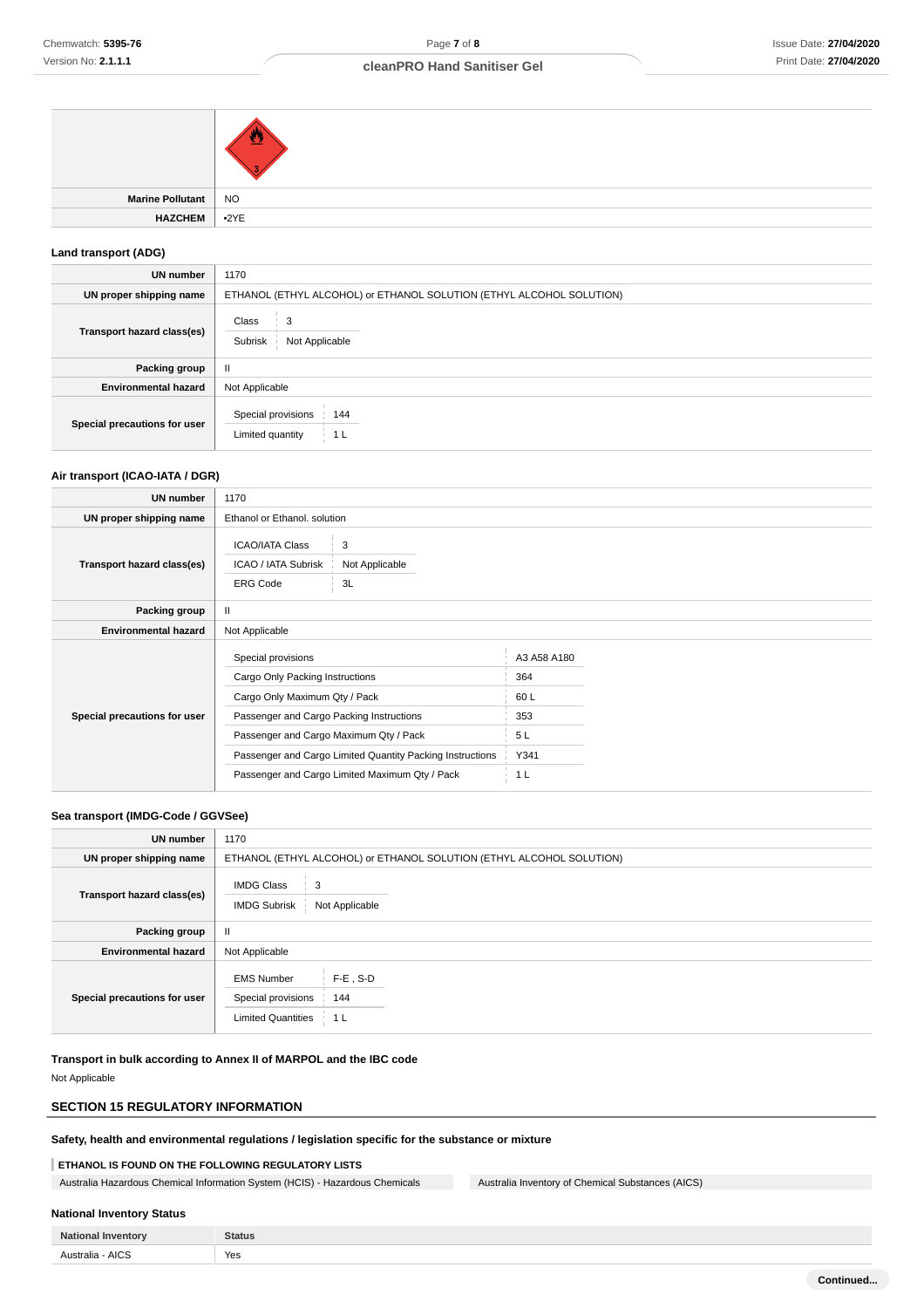| Marine Pollutant   NO |                   |
|-----------------------|-------------------|
| <b>HAZCHEM</b>        | $\rightarrow$ 2YE |
|                       |                   |

### **Land transport (ADG)**

| UN number                    | 1170                                                                 |  |
|------------------------------|----------------------------------------------------------------------|--|
| UN proper shipping name      | ETHANOL (ETHYL ALCOHOL) or ETHANOL SOLUTION (ETHYL ALCOHOL SOLUTION) |  |
| Transport hazard class(es)   | Class<br>3<br>Subrisk<br>Not Applicable                              |  |
| Packing group                | $\mathbf{H}$                                                         |  |
| <b>Environmental hazard</b>  | Not Applicable                                                       |  |
| Special precautions for user | Special provisions<br>144<br>Limited quantity<br>1 <sub>L</sub>      |  |

### **Air transport (ICAO-IATA / DGR)**

| UN number                    | 1170                                                                                                                                                                                                                                                                                        |                           |                                                       |  |
|------------------------------|---------------------------------------------------------------------------------------------------------------------------------------------------------------------------------------------------------------------------------------------------------------------------------------------|---------------------------|-------------------------------------------------------|--|
| UN proper shipping name      | Ethanol or Ethanol, solution                                                                                                                                                                                                                                                                |                           |                                                       |  |
| Transport hazard class(es)   | <b>ICAO/IATA Class</b><br>ICAO / IATA Subrisk<br><b>ERG Code</b>                                                                                                                                                                                                                            | 3<br>Not Applicable<br>3L |                                                       |  |
| Packing group                | $\mathbf{I}$                                                                                                                                                                                                                                                                                |                           |                                                       |  |
| <b>Environmental hazard</b>  | Not Applicable                                                                                                                                                                                                                                                                              |                           |                                                       |  |
| Special precautions for user | Special provisions<br>Cargo Only Packing Instructions<br>Cargo Only Maximum Qty / Pack<br>Passenger and Cargo Packing Instructions<br>Passenger and Cargo Maximum Qty / Pack<br>Passenger and Cargo Limited Quantity Packing Instructions<br>Passenger and Cargo Limited Maximum Qty / Pack |                           | A3 A58 A180<br>364<br>60L<br>353<br>5L<br>Y341<br>1 L |  |

### **Sea transport (IMDG-Code / GGVSee)**

| <b>UN number</b>             | 1170                                                                                               |  |  |
|------------------------------|----------------------------------------------------------------------------------------------------|--|--|
| UN proper shipping name      | ETHANOL (ETHYL ALCOHOL) or ETHANOL SOLUTION (ETHYL ALCOHOL SOLUTION)                               |  |  |
| Transport hazard class(es)   | <b>IMDG Class</b><br>3<br><b>IMDG Subrisk</b><br>Not Applicable                                    |  |  |
| Packing group                | $\mathbf{H}$                                                                                       |  |  |
| <b>Environmental hazard</b>  | Not Applicable                                                                                     |  |  |
| Special precautions for user | $F-E$ , S-D<br><b>EMS Number</b><br>Special provisions<br>144<br><b>Limited Quantities</b><br>-1 L |  |  |

### **Transport in bulk according to Annex II of MARPOL and the IBC code**

Not Applicable

# **SECTION 15 REGULATORY INFORMATION**

# **Safety, health and environmental regulations / legislation specific for the substance or mixture**

# **ETHANOL IS FOUND ON THE FOLLOWING REGULATORY LISTS**

Australia Hazardous Chemical Information System (HCIS) - Hazardous Chemicals Australia Inventory of Chemical Substances (AICS)

# **National Inventory Status**

| Nationa             | <b>Statue</b><br>31.UR |
|---------------------|------------------------|
| <b>AICS</b><br>$ -$ | Yes                    |